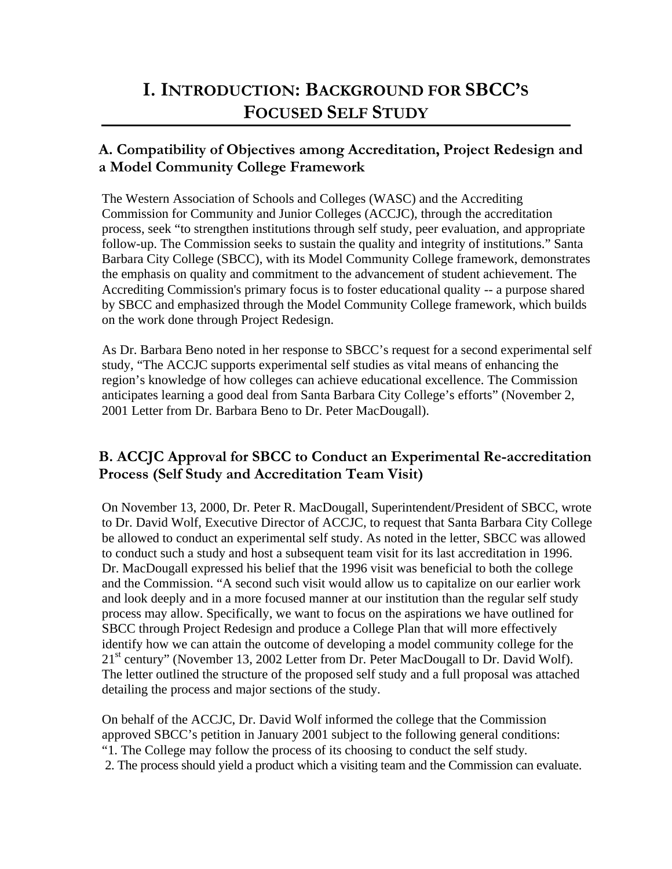# **I. INTRODUCTION: BACKGROUND FOR SBCC'S FOCUSED SELF STUDY**

## **A. Compatibility of Objectives among Accreditation, Project Redesign and a Model Community College Framework**

The Western Association of Schools and Colleges (WASC) and the Accrediting Commission for Community and Junior Colleges (ACCJC), through the accreditation process, seek "to strengthen institutions through self study, peer evaluation, and appropriate follow-up. The Commission seeks to sustain the quality and integrity of institutions." Santa Barbara City College (SBCC), with its Model Community College framework, demonstrates the emphasis on quality and commitment to the advancement of student achievement. The Accrediting Commission's primary focus is to foster educational quality -- a purpose shared by SBCC and emphasized through the Model Community College framework, which builds on the work done through Project Redesign.

As Dr. Barbara Beno noted in her response to SBCC's request for a second experimental self study, "The ACCJC supports experimental self studies as vital means of enhancing the region's knowledge of how colleges can achieve educational excellence. The Commission anticipates learning a good deal from Santa Barbara City College's efforts" (November 2, 2001 Letter from Dr. Barbara Beno to Dr. Peter MacDougall).

## **B. ACCJC Approval for SBCC to Conduct an Experimental Re-accreditation Process (Self Study and Accreditation Team Visit)**

On November 13, 2000, Dr. Peter R. MacDougall, Superintendent/President of SBCC, wrote to Dr. David Wolf, Executive Director of ACCJC, to request that Santa Barbara City College be allowed to conduct an experimental self study. As noted in the letter, SBCC was allowed to conduct such a study and host a subsequent team visit for its last accreditation in 1996. Dr. MacDougall expressed his belief that the 1996 visit was beneficial to both the college and the Commission. "A second such visit would allow us to capitalize on our earlier work and look deeply and in a more focused manner at our institution than the regular self study process may allow. Specifically, we want to focus on the aspirations we have outlined for SBCC through Project Redesign and produce a College Plan that will more effectively identify how we can attain the outcome of developing a model community college for the 21<sup>st</sup> century" (November 13, 2002 Letter from Dr. Peter MacDougall to Dr. David Wolf). The letter outlined the structure of the proposed self study and a full proposal was attached detailing the process and major sections of the study.

On behalf of the ACCJC, Dr. David Wolf informed the college that the Commission approved SBCC's petition in January 2001 subject to the following general conditions: "1. The College may follow the process of its choosing to conduct the self study. 2. The process should yield a product which a visiting team and the Commission can evaluate.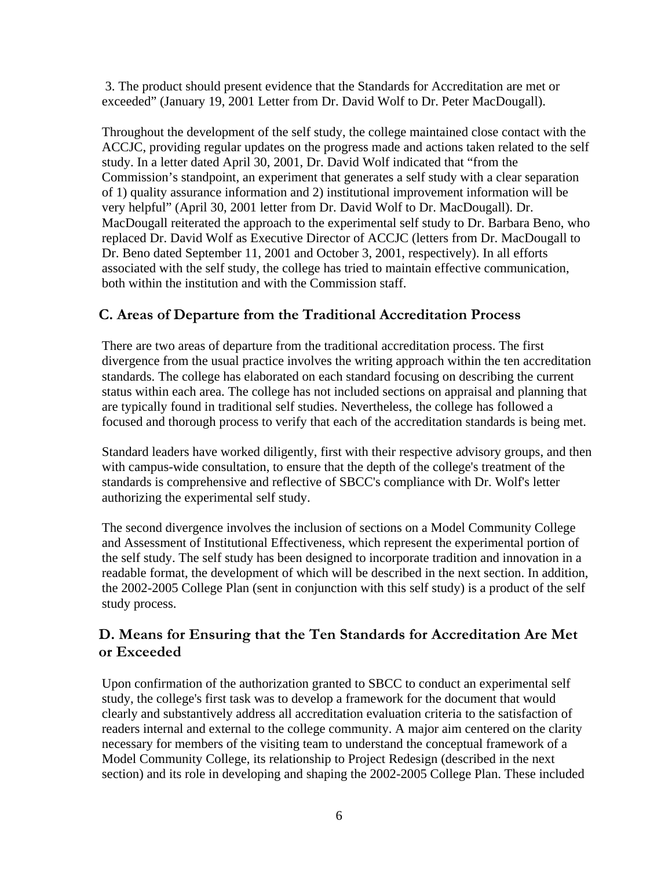3. The product should present evidence that the Standards for Accreditation are met or exceeded" (January 19, 2001 Letter from Dr. David Wolf to Dr. Peter MacDougall).

Throughout the development of the self study, the college maintained close contact with the ACCJC, providing regular updates on the progress made and actions taken related to the self study. In a letter dated April 30, 2001, Dr. David Wolf indicated that "from the Commission's standpoint, an experiment that generates a self study with a clear separation of 1) quality assurance information and 2) institutional improvement information will be very helpful" (April 30, 2001 letter from Dr. David Wolf to Dr. MacDougall). Dr. MacDougall reiterated the approach to the experimental self study to Dr. Barbara Beno, who replaced Dr. David Wolf as Executive Director of ACCJC (letters from Dr. MacDougall to Dr. Beno dated September 11, 2001 and October 3, 2001, respectively). In all efforts associated with the self study, the college has tried to maintain effective communication, both within the institution and with the Commission staff.

### **C. Areas of Departure from the Traditional Accreditation Process**

There are two areas of departure from the traditional accreditation process. The first divergence from the usual practice involves the writing approach within the ten accreditation standards. The college has elaborated on each standard focusing on describing the current status within each area. The college has not included sections on appraisal and planning that are typically found in traditional self studies. Nevertheless, the college has followed a focused and thorough process to verify that each of the accreditation standards is being met.

Standard leaders have worked diligently, first with their respective advisory groups, and then with campus-wide consultation, to ensure that the depth of the college's treatment of the standards is comprehensive and reflective of SBCC's compliance with Dr. Wolf's letter authorizing the experimental self study.

The second divergence involves the inclusion of sections on a Model Community College and Assessment of Institutional Effectiveness, which represent the experimental portion of the self study. The self study has been designed to incorporate tradition and innovation in a readable format, the development of which will be described in the next section. In addition, the 2002-2005 College Plan (sent in conjunction with this self study) is a product of the self study process.

## **D. Means for Ensuring that the Ten Standards for Accreditation Are Met or Exceeded**

Upon confirmation of the authorization granted to SBCC to conduct an experimental self study, the college's first task was to develop a framework for the document that would clearly and substantively address all accreditation evaluation criteria to the satisfaction of readers internal and external to the college community. A major aim centered on the clarity necessary for members of the visiting team to understand the conceptual framework of a Model Community College, its relationship to Project Redesign (described in the next section) and its role in developing and shaping the 2002-2005 College Plan. These included